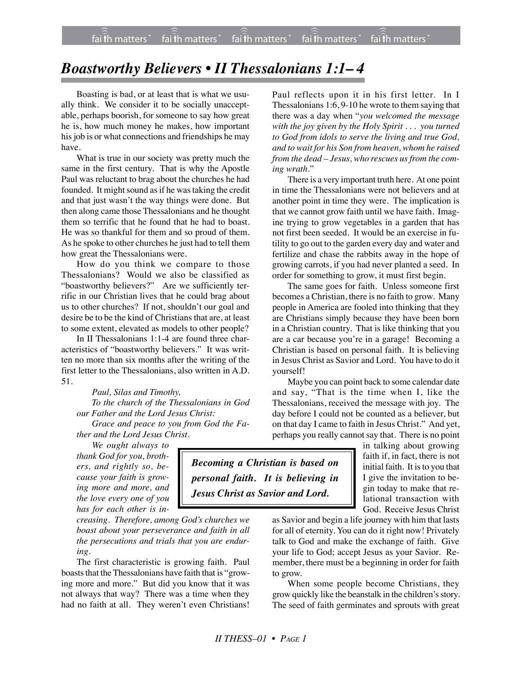## *Boastworthy Believers • II Thessalonians 1:1– 4*

Boasting is bad, or at least that is what we usually think. We consider it to be socially unacceptable, perhaps boorish, for someone to say how great he is, how much money he makes, how important his job is or what connections and friendships he may have.

What is true in our society was pretty much the same in the first century. That is why the Apostle Paul was reluctant to brag about the churches he had founded. It might sound as if he was taking the credit and that just wasn't the way things were done. But then along came those Thessalonians and he thought them so terrific that he found that he had to boast. He was so thankful for them and so proud of them. As he spoke to other churches he just had to tell them how great the Thessalonians were.

How do you think we compare to those Thessalonians? Would we also be classified as "boastworthy believers?" Are we sufficiently terrific in our Christian lives that he could brag about us to other churches? If not, shouldn't our goal and desire be to be the kind of Christians that are, at least to some extent, elevated as models to other people?

In II Thessalonians 1:1-4 are found three characteristics of "boastworthy believers." It was written no more than six months after the writing of the first letter to the Thessalonians, also written in A.D. 51.

*Paul, Silas and Timothy, To the church of the Thessalonians in God our Father and the Lord Jesus Christ:*

*Grace and peace to you from God the Father and the Lord Jesus Christ.*

*We ought always to*

*thank God for you, brothers, and rightly so, because your faith is growing more and more, and the love every one of you has for each other is in-*

*creasing. Therefore, among God's churches we boast about your perseverance and faith in all the persecutions and trials that you are enduring.*

The first characteristic is growing faith. Paul boasts that the Thessalonians have faith that is "growing more and more." But did you know that it was not always that way? There was a time when they had no faith at all. They weren't even Christians!

Paul reflects upon it in his first letter. In I Thessalonians 1:6, 9-10 he wrote to them saying that there was a day when "*you welcomed the message with the joy given by the Holy Spirit . . . you turned to God from idols to serve the living and true God, and to wait for his Son from heaven, whom he raised from the dead – Jesus, who rescues us from the coming wrath.*"

There is a very important truth here. At one point in time the Thessalonians were not believers and at another point in time they were. The implication is that we cannot grow faith until we have faith. Imagine trying to grow vegetables in a garden that has not first been seeded. It would be an exercise in futility to go out to the garden every day and water and fertilize and chase the rabbits away in the hope of growing carrots, if you had never planted a seed. In order for something to grow, it must first begin.

The same goes for faith. Unless someone first becomes a Christian, there is no faith to grow. Many people in America are fooled into thinking that they are Christians simply because they have been born in a Christian country. That is like thinking that you are a car because you're in a garage! Becoming a Christian is based on personal faith. It is believing in Jesus Christ as Savior and Lord. You have to do it yourself!

Maybe you can point back to some calendar date and say, "That is the time when I, like the Thessalonians, received the message with joy. The day before I could not be counted as a believer, but on that day I came to faith in Jesus Christ." And yet, perhaps you really cannot say that. There is no point

> in talking about growing faith if, in fact, there is not initial faith. It is to you that I give the invitation to begin today to make that relational transaction with God. Receive Jesus Christ

as Savior and begin a life journey with him that lasts for all of eternity. You can do it right now! Privately talk to God and make the exchange of faith. Give your life to God; accept Jesus as your Savior. Remember, there must be a beginning in order for faith to grow.

When some people become Christians, they grow quickly like the beanstalk in the children's story. The seed of faith germinates and sprouts with great

*Becoming a Christian is based on personal faith. It is believing in Jesus Christ as Savior and Lord.*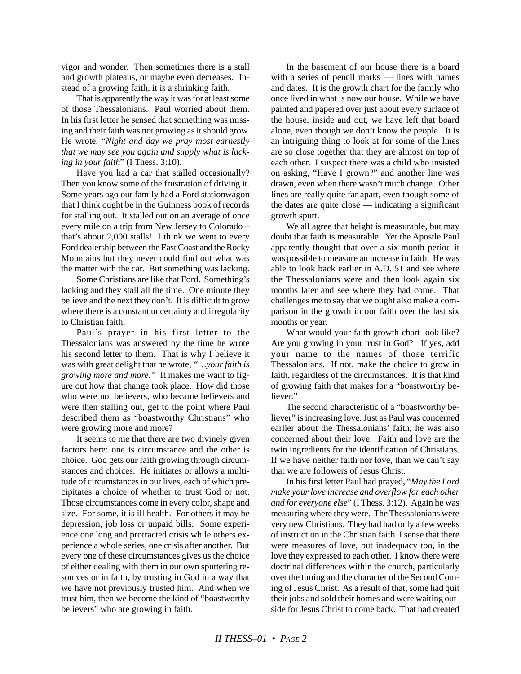vigor and wonder. Then sometimes there is a stall and growth plateaus, or maybe even decreases. Instead of a growing faith, it is a shrinking faith.

That is apparently the way it was for at least some of those Thessalonians. Paul worried about them. In his first letter he sensed that something was missing and their faith was not growing as it should grow. He wrote, "*Night and day we pray most earnestly that we may see you again and supply what is lacking in your faith*" (I Thess. 3:10).

Have you had a car that stalled occasionally? Then you know some of the frustration of driving it. Some years ago our family had a Ford stationwagon that I think ought be in the Guinness book of records for stalling out. It stalled out on an average of once every mile on a trip from New Jersey to Colorado – that's about 2,000 stalls! I think we went to every Ford dealership between the East Coast and the Rocky Mountains but they never could find out what was the matter with the car. But something was lacking.

Some Christians are like that Ford. Something's lacking and they stall all the time. One minute they believe and the next they don't. It is difficult to grow where there is a constant uncertainty and irregularity to Christian faith.

Paul's prayer in his first letter to the Thessalonians was answered by the time he wrote his second letter to them. That is why I believe it was with great delight that he wrote, *"…your faith is growing more and more."* It makes me want to figure out how that change took place. How did those who were not believers, who became believers and were then stalling out, get to the point where Paul described them as "boastworthy Christians" who were growing more and more?

It seems to me that there are two divinely given factors here: one is circumstance and the other is choice. God gets our faith growing through circumstances and choices. He initiates or allows a multitude of circumstances in our lives, each of which precipitates a choice of whether to trust God or not. Those circumstances come in every color, shape and size. For some, it is ill health. For others it may be depression, job loss or unpaid bills. Some experience one long and protracted crisis while others experience a whole series, one crisis after another. But every one of these circumstances gives us the choice of either dealing with them in our own sputtering resources or in faith, by trusting in God in a way that we have not previously trusted him. And when we trust him, then we become the kind of "boastworthy believers" who are growing in faith.

In the basement of our house there is a board with a series of pencil marks — lines with names and dates. It is the growth chart for the family who once lived in what is now our house. While we have painted and papered over just about every surface of the house, inside and out, we have left that board alone, even though we don't know the people. It is an intriguing thing to look at for some of the lines are so close together that they are almost on top of each other. I suspect there was a child who insisted on asking, "Have I grown?" and another line was drawn, even when there wasn't much change. Other lines are really quite far apart, even though some of the dates are quite close — indicating a significant growth spurt.

We all agree that height is measurable, but may doubt that faith is measurable. Yet the Apostle Paul apparently thought that over a six-month period it was possible to measure an increase in faith. He was able to look back earlier in A.D. 51 and see where the Thessalonians were and then look again six months later and see where they had come. That challenges me to say that we ought also make a comparison in the growth in our faith over the last six months or year.

What would your faith growth chart look like? Are you growing in your trust in God? If yes, add your name to the names of those terrific Thessalonians. If not, make the choice to grow in faith, regardless of the circumstances. It is that kind of growing faith that makes for a "boastworthy believer."

The second characteristic of a "boastworthy believer" is increasing love. Just as Paul was concerned earlier about the Thessalonians' faith, he was also concerned about their love. Faith and love are the twin ingredients for the identification of Christians. If we have neither faith nor love, than we can't say that we are followers of Jesus Christ.

In his first letter Paul had prayed, "*May the Lord make your love increase and overflow for each other and for everyone else*" (I Thess. 3:12). Again he was measuring where they were. The Thessalonians were very new Christians. They had had only a few weeks of instruction in the Christian faith. I sense that there were measures of love, but inadequacy too, in the love they expressed to each other. I know there were doctrinal differences within the church, particularly over the timing and the character of the Second Coming of Jesus Christ. As a result of that, some had quit their jobs and sold their homes and were waiting outside for Jesus Christ to come back. That had created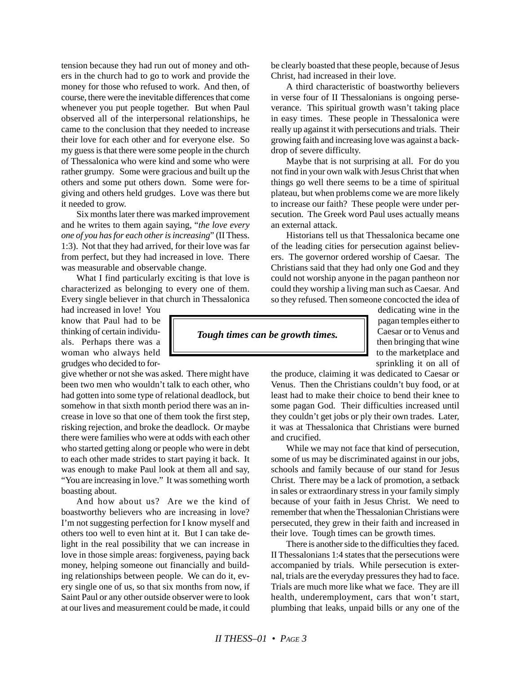tension because they had run out of money and others in the church had to go to work and provide the money for those who refused to work. And then, of course, there were the inevitable differences that come whenever you put people together. But when Paul observed all of the interpersonal relationships, he came to the conclusion that they needed to increase their love for each other and for everyone else. So my guess is that there were some people in the church of Thessalonica who were kind and some who were rather grumpy. Some were gracious and built up the others and some put others down. Some were forgiving and others held grudges. Love was there but it needed to grow.

Six months later there was marked improvement and he writes to them again saying, "*the love every one of you has for each other is increasing*" (II Thess. 1:3). Not that they had arrived, for their love was far from perfect, but they had increased in love. There was measurable and observable change.

What I find particularly exciting is that love is characterized as belonging to every one of them. Every single believer in that church in Thessalonica

had increased in love! You know that Paul had to be thinking of certain individuals. Perhaps there was a woman who always held grudges who decided to for-

give whether or not she was asked. There might have been two men who wouldn't talk to each other, who had gotten into some type of relational deadlock, but somehow in that sixth month period there was an increase in love so that one of them took the first step, risking rejection, and broke the deadlock. Or maybe there were families who were at odds with each other who started getting along or people who were in debt to each other made strides to start paying it back. It was enough to make Paul look at them all and say, "You are increasing in love." It was something worth boasting about.

And how about us? Are we the kind of boastworthy believers who are increasing in love? I'm not suggesting perfection for I know myself and others too well to even hint at it. But I can take delight in the real possibility that we can increase in love in those simple areas: forgiveness, paying back money, helping someone out financially and building relationships between people. We can do it, every single one of us, so that six months from now, if Saint Paul or any other outside observer were to look at our lives and measurement could be made, it could

be clearly boasted that these people, because of Jesus Christ, had increased in their love.

A third characteristic of boastworthy believers in verse four of II Thessalonians is ongoing perseverance. This spiritual growth wasn't taking place in easy times. These people in Thessalonica were really up against it with persecutions and trials. Their growing faith and increasing love was against a backdrop of severe difficulty.

Maybe that is not surprising at all. For do you not find in your own walk with Jesus Christ that when things go well there seems to be a time of spiritual plateau, but when problems come we are more likely to increase our faith? These people were under persecution. The Greek word Paul uses actually means an external attack.

Historians tell us that Thessalonica became one of the leading cities for persecution against believers. The governor ordered worship of Caesar. The Christians said that they had only one God and they could not worship anyone in the pagan pantheon nor could they worship a living man such as Caesar. And so they refused. Then someone concocted the idea of

*Tough times can be growth times.*

dedicating wine in the pagan temples either to Caesar or to Venus and then bringing that wine to the marketplace and sprinkling it on all of

the produce, claiming it was dedicated to Caesar or Venus. Then the Christians couldn't buy food, or at least had to make their choice to bend their knee to some pagan God. Their difficulties increased until they couldn't get jobs or ply their own trades. Later, it was at Thessalonica that Christians were burned and crucified.

While we may not face that kind of persecution, some of us may be discriminated against in our jobs, schools and family because of our stand for Jesus Christ. There may be a lack of promotion, a setback in sales or extraordinary stress in your family simply because of your faith in Jesus Christ. We need to remember that when the Thessalonian Christians were persecuted, they grew in their faith and increased in their love. Tough times can be growth times.

There is another side to the difficulties they faced. II Thessalonians 1:4 states that the persecutions were accompanied by trials. While persecution is external, trials are the everyday pressures they had to face. Trials are much more like what we face. They are ill health, underemployment, cars that won't start, plumbing that leaks, unpaid bills or any one of the